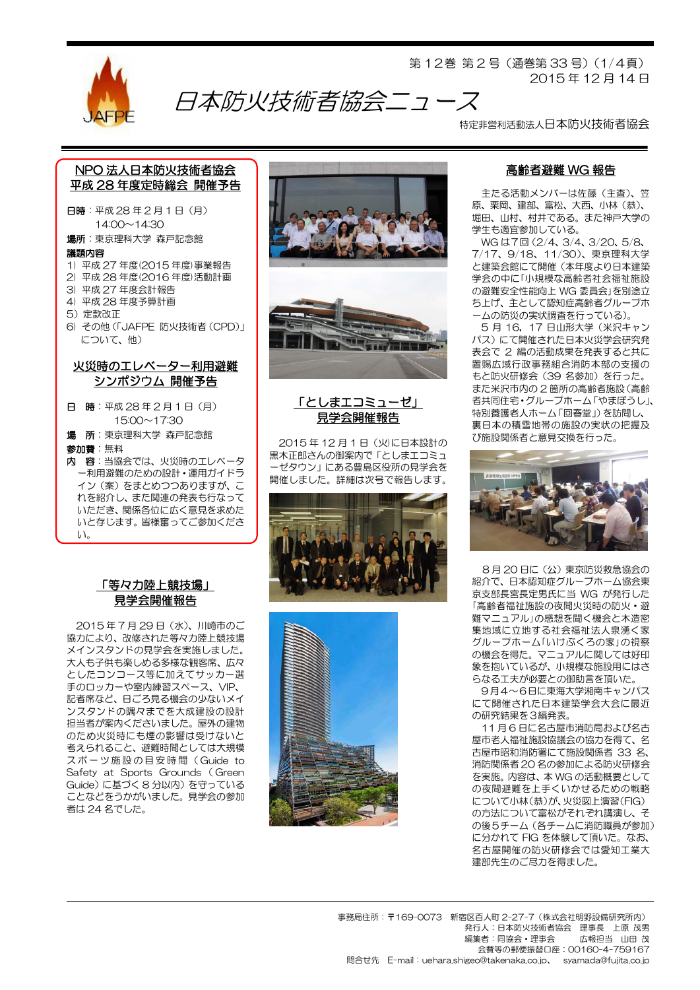

第 12巻 第 2 号(通巻第 33 号)(1/4頁) 2015 年 12 月 14 日

特定非営利活動法人日本防火技術者協会

## NPO 法人日本防火技術者協会 平成 28 年度定時総会 開催予告

- 日時:平成 28 年 2 月 1 日(月) 14:00~14:30
- 場所:東京理科大学 森戸記念館

#### 議題内容

- 1) 平成 27 年度(2015 年度)事業報告
- 2) 平成 28 年度(2016 年度)活動計画
- 3) 平成 27 年度会計報告
- 4) 平成 28 年度予算計画
- 5)定款改正 6) その他(「JAFPE 防火技術者(CPD)」

# について、他) 火災時のエレベーター利用避難

# シンポジウム 開催予告

- 日 時:平成 28 年 2 月 1 日(月) 15:00~17:30
- 場 所:東京理科大学 森戸記念館

#### 参加費:無料

内 容:当協会では、火災時のエレベータ ー利用避難のための設計・運用ガイドラ イン(案)をまとめつつありますが、こ れを紹介し、また関連の発表も行なって いただき、関係各位に広く意見を求めた いと存じます。皆様奮ってご参加くださ い。

## 「等々力陸上競技場」 見学会開催報告

2015 年 7 月 29 日(水)、川崎市のご 協力により、改修された等々力陸上競技場 メインスタンドの見学会を実施しました。 大人も子供も楽しめる多様な観客席、広々 としたコンコース等に加えてサッカー選 手のロッカーや室内練習スペース、VIP、 記者席など、日ごろ見る機会の少ないメイ ンスタンドの隅々までを大成建設の設計 担当者が案内くださいました。屋外の建物 のため火災時にも煙の影響は受けないと 考えられること、避難時間としては大規模 スポーツ施設の目安時間( Guide to Safety at Sports Grounds ( Green Guide)に基づく 8 分以内)を守っている ことなどをうかがいました。見学会の参加 者は 24 名でした。



日本防火技術者協会ニュース

## 「としまエコミューゼ」 見学会開催報告

2015 年 12 月 1 日(火)に日本設計の 黒木正郎さんの御案内で「としまエコミュ ーゼタウン」にある豊島区役所の見学会を 開催しました。詳細は次号で報告します。





## 高齢者避難 WG 報告

主たる活動メンバーは佐藤(主査)、笠 原、栗岡、建部、富松、大西、小林(恭)、 堀田、山村、村井である。また神戸大学の 学生も適宜参加している。

WG は7回(2/4、3/4、3/20、5/8、 7/17、9/18、11/30)、東京理科大学 と建築会館にて開催(本年度より日本建築 学会の中に「小規模な高齢者社会福祉施設 の避難安全性能向上 WG 委員会」を別途立 ち上げ、主として認知症高齢者グループホ ームの防災の実状調査を行っている)。

5 月 16,17 日山形大学(米沢キャン パス)にて開催された日本火災学会研究発 表会で 2 編の活動成果を発表すると共に 置賜広域行政事務組合消防本部の支援の もと防火研修会(39名参加)を行った。 また米沢市内の 2 箇所の高齢者施設(高齢 者共同住宅・グループホーム「やまぼうし」、 特別養護老人ホーム「回春堂」)を訪問し、 裏日本の積雪地帯の施設の実状の把握及 び施設関係者と意見交換を行った。



8 月 20 日に(公)東京防災救急協会の 紹介で、日本認知症グループホーム協会東 京支部長宮長定男氏に当 WG が発行した 「高齢者福祉施設の夜間火災時の防火・避 難マニュアル」の感想を聞く機会と木造密 集地域に立地する社会福祉法人泉湧く家 グループホーム「いけぶくろの家」の視察 の機会を得た。マニュアルに関しては好印 象を抱いているが、小規模な施設用にはさ らなる工夫が必要との御助言を頂いた。

9月4~6日に東海大学湘南キャンパス にて開催された日本建築学会大会に最近 の研究結果を3編発表。

11 月 6 日に名古屋市消防局および名古 屋市老人福祉施設協議会の協力を得て、名 古屋市昭和消防署にて施設関係者 33 名、 消防関係者 20 名の参加による防火研修会 を実施。内容は、本 WG の活動概要として の夜間避難を上手くいかせるための戦略 について小林(恭)が、火災図上演習(FIG) の方法について富松がそれぞれ講演し、そ の後5チーム(各チームに消防職員が参加) に分かれて FIG を体験して頂いた。なお、 名古屋開催の防火研修会では愛知工業大 建部先生のご尽力を得ました。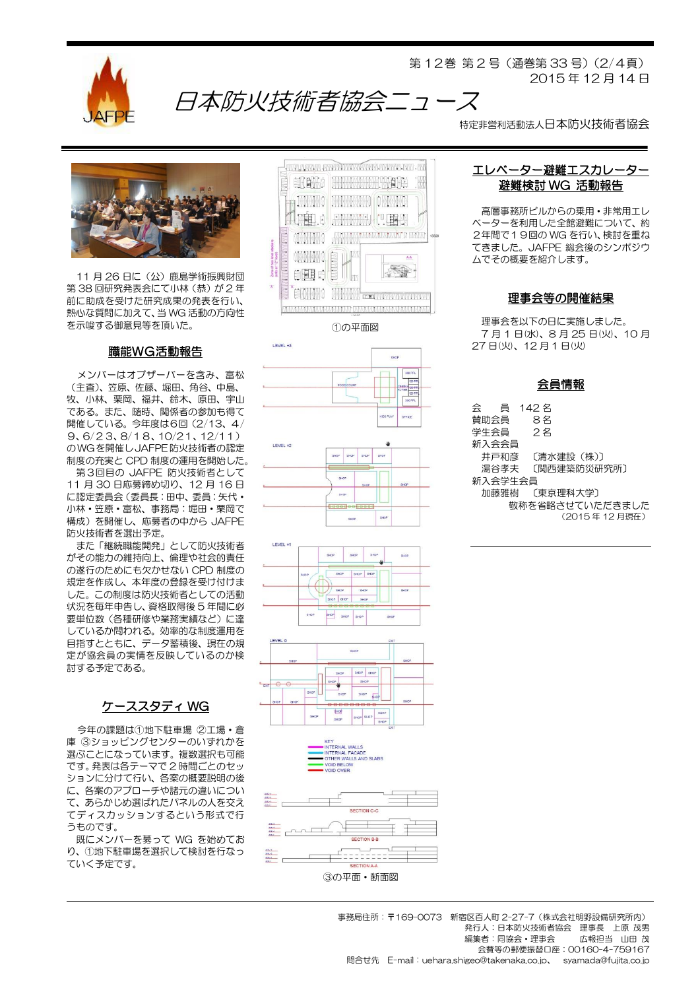

日本防火技術者協会ニュース

第 12巻 第 2 号(通巻第 33 号)(2/4頁) 2015 年 12 月 14 日

特定非営利活動法人日本防火技術者協会



11 月 26 日に(公)鹿島学術振興財団 第 38 回研究発表会にて小林 (恭) が2年 前に助成を受けた研究成果の発表を行い、 熱心な質問に加えて、当 WG 活動の方向性 を示唆する御意見等を頂いた。

#### 職能WG活動報告

メンバーはオブザーバーを含み、富松 (主査)、笠原、佐藤、堀田、角谷、中島、 牧、小林、栗岡、福井、鈴木、原田、宇山 である。また、随時、関係者の参加も得て 開催している。今年度は6回(2/13、4/ 9、6/23、8/18、10/21、12/11) のWGを開催しJAFPE防火技術者の認定 制度の充実と CPD 制度の運用を開始した。

第3回目の JAFPE 防火技術者として 11 月 30 日応募締め切り、12 月 16 日 に認定委員会(委員長:田中、委員:矢代・ 小林・笠原・富松、事務局:堀田・栗岡で 構成)を開催し、応募者の中から JAFPE 防火技術者を選出予定。

また「継続職能開発」として防火技術者 がその能力の維持向上、倫理や社会的責任 の遂行のためにも欠かせない CPD 制度の 規定を作成し、本年度の登録を受け付けま した。この制度は防火技術者としての活動 状況を毎年申告し、資格取得後 5 年間に必 要単位数(各種研修や業務実績など)に達 しているか問われる。効率的な制度運用を 目指すとともに、データ蓄積後、現在の規 定が協会員の実情を反映しているのか検 討する予定である。

## ケーススタディ WG

今年の課題は①地下駐車場 ②工場・倉 庫 ③ショッピングセンターのいずれかを 選ぶことになっています。複数選択も可能 です。発表は各テーマで 2 時間ごとのセッ ションに分けて行い、各案の概要説明の後 に、各案のアプローチや諸元の違いについ て、あらかじめ選ばれたパネルの人を交え てディスカッションするという形式で行 うものです。

既にメンバーを募って WG を始めてお り、①地下駐車場を選択して検討を行なっ ていく予定です。



LEVEL 43 SHO







NET<br>INTERNAL WALLS<br>INTERNAL FACADE<br>OTHER WALLS AND SLABS<br>VOID BELOW<br>VOID OVER



## エレベーター避難エスカレーター 避難検討 WG 活動報告

高層事務所ビルからの乗用・非常用エレ ベーターを利用した全館避難について、約 2年間で19回の WG を行い、検討を重ね てきました。JAFPE 総会後のシンポジウ ムでその概要を紹介します。

#### 理事会等の開催結果

理事会を以下の日に実施しました。 7 月 1 日(水)、8 月 25 日(火)、10 月 27 日(火)、12 月 1 日(火)

#### 会員情報

| 会 員 142名 |                 |
|----------|-----------------|
| 賛助会員     | 88              |
| 学牛会員     | 2名              |
| 新入会会員    |                 |
| 井戸和彦     | 〔清水建設(株)〕       |
| 湯谷孝夫     | 〔関西建築防災研究所〕     |
| 新入会学牛会員  |                 |
|          | 加藤雅樹 〔東京理科大学〕   |
|          | 敬称を省略させていただきました |
|          | (2015年12月現在)    |
|          |                 |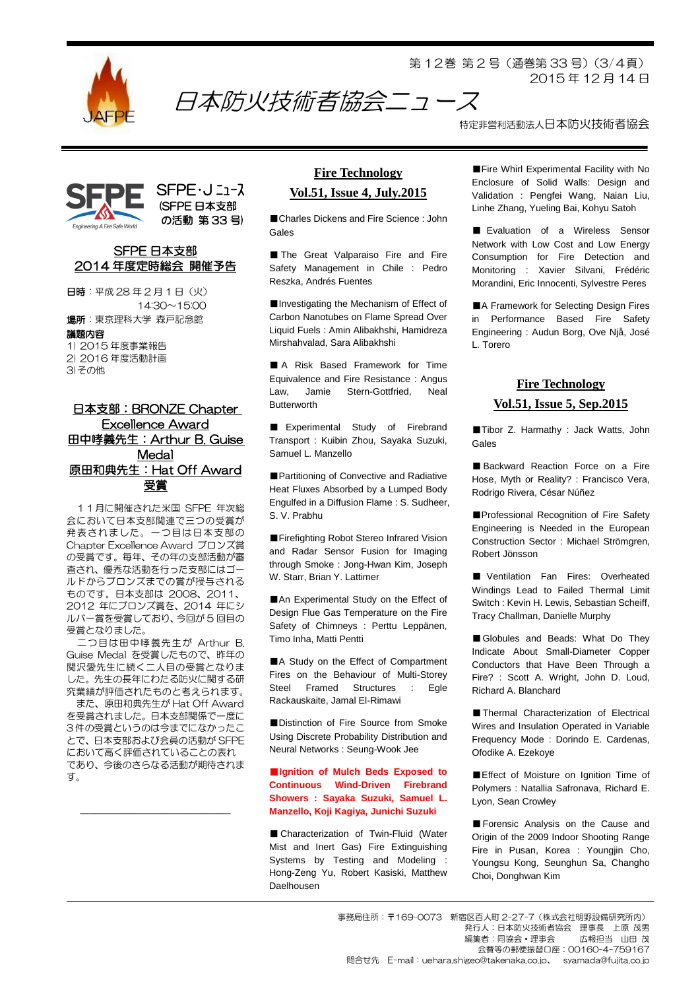

第 12巻 第 2 号(通巻第 33 号)(3/4頁) 2015 年 12 月 14 日

特定非営利活動法人日本防火技術者協会



#### SFPE 日本支部 2014 年度定時総会 開催予告

日時:平成 28 年 2 月 1 日(火) 14:30~15:00 場所:東京理科大学 森戸記念館

議題内容 1) 2015 年度事業報告

2) 2016 年度活動計画 3)その他

## 日本支部:BRONZE Chapter Excellence Award 田中哮義先生:Arthur B. Guise **Medal** 原田和典先生:Hat Off Award 受賞

11月に開催された米国 SFPE 年次総 会において日本支部関連で三つの受賞が 発表されました。一つ目は日本支部の Chapter Excellence Award ブロンズ賞 の受賞です。毎年、その年の支部活動が審 査され、優秀な活動を行った支部にはゴー ルドからブロンズまでの賞が授与される ものです。日本支部は 2008、2011、 2012 年にブロンズ賞を、2014 年にシ ルバー賞を受賞しており、今回が 5 回目の 受賞となりました。

二つ目は田中哮義先生が Arthur B. Guise Medal を受賞したもので、昨年の 関沢愛先生に続く二人目の受賞となりま した。先生の長年にわたる防火に関する研 究業績が評価されたものと考えられます。

また、原田和典先生が Hat Off Award を受賞されました。日本支部関係で一度に 3 件の受賞というのは今までになかったこ とで、日本支部および会員の活動が SFPE において高く評価されていることの表れ であり、今後のさらなる活動が期待されま す。

――――――――――――――――

## **Fire Technology Vol.51, Issue 4, July.2015**

日本防火技術者協会ニュース

■Charles Dickens and Fire Science : John Gales

■ The Great Valparaiso Fire and Fire Safety Management in Chile : Pedro Reszka, Andrés Fuentes

■Investigating the Mechanism of Effect of Carbon Nanotubes on Flame Spread Over Liquid Fuels : Amin Alibakhshi, Hamidreza Mirshahvalad, Sara Alibakhshi

■ A Risk Based Framework for Time Equivalence and Fire Resistance : Angus Law, Jamie Stern-Gottfried, Neal Butterworth

■ Experimental Study of Firebrand Transport : Kuibin Zhou, Sayaka Suzuki, Samuel L. Manzello

■Partitioning of Convective and Radiative Heat Fluxes Absorbed by a Lumped Body Engulfed in a Diffusion Flame : S. Sudheer, S. V. Prabhu

■Firefighting Robot Stereo Infrared Vision and Radar Sensor Fusion for Imaging through Smoke : Jong-Hwan Kim, Joseph W. Starr, Brian Y. Lattimer

■An Experimental Study on the Effect of Design Flue Gas Temperature on the Fire Safety of Chimneys : Perttu Leppänen, Timo Inha, Matti Pentti

■A Study on the Effect of Compartment Fires on the Behaviour of Multi-Storey Steel Framed Structures : Egle Rackauskaite, Jamal El-Rimawi

■Distinction of Fire Source from Smoke Using Discrete Probability Distribution and Neural Networks : Seung-Wook Jee

#### ■**Ignition of Mulch Beds Exposed to Continuous Wind-Driven Firebrand Showers : Sayaka Suzuki, Samuel L. Manzello, Koji Kagiya, Junichi Suzuki**

■ Characterization of Twin-Fluid (Water Mist and Inert Gas) Fire Extinguishing Systems by Testing and Modeling : Hong-Zeng Yu, Robert Kasiski, Matthew Daelhousen

■Fire Whirl Experimental Facility with No Enclosure of Solid Walls: Design and Validation : Pengfei Wang, Naian Liu, Linhe Zhang, Yueling Bai, Kohyu Satoh

■ Evaluation of a Wireless Sensor Network with Low Cost and Low Energy Consumption for Fire Detection and Monitoring : Xavier Silvani, Frédéric Morandini, Eric Innocenti, Sylvestre Peres

■A Framework for Selecting Design Fires in Performance Based Fire Safety Engineering : Audun Borg, Ove Njå, José L. Torero

## **Fire Technology**

#### **Vol.51, Issue 5, Sep.2015**

■Tibor Z. Harmathy : Jack Watts, John Gales

■ Backward Reaction Force on a Fire Hose, Myth or Reality? : Francisco Vera, Rodrigo Rivera, César Núñez

■Professional Recognition of Fire Safety Engineering is Needed in the European Construction Sector : Michael Strömgren, Robert Jönsson

■ Ventilation Fan Fires: Overheated Windings Lead to Failed Thermal Limit Switch : Kevin H. Lewis, Sebastian Scheiff, Tracy Challman, Danielle Murphy

■ Globules and Beads: What Do They Indicate About Small-Diameter Copper Conductors that Have Been Through a Fire? : Scott A. Wright, John D. Loud, Richard A. Blanchard

■ Thermal Characterization of Electrical Wires and Insulation Operated in Variable Frequency Mode : Dorindo E. Cardenas, Ofodike A. Ezekoye

■Effect of Moisture on Ignition Time of Polymers : Natallia Safronava, Richard E. Lyon, Sean Crowley

■ Forensic Analysis on the Cause and Origin of the 2009 Indoor Shooting Range Fire in Pusan, Korea : Youngjin Cho, Youngsu Kong, Seunghun Sa, Changho Choi, Donghwan Kim